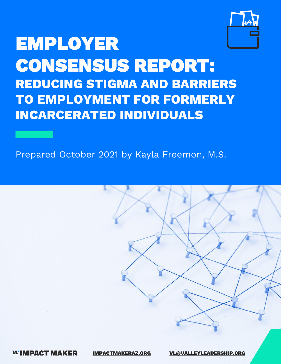

# **EMPLOYER CONSENSUS REPORT: REDUCING STIGMA AND BARRIERS TO EMPLOYMENT FOR FORMERLY INCARCERATED INDIVIDUALS**

## Prepared October 2021 by Kayla Freemon, M.S.



**WIMPACT MAKER** 

[IMPACTMAKERAZ.ORG](https://www.impactmakeraz.org/) [VL@VALLEYLEADERSHIP.ORG](mailto:bailey@VALLEYLEADERSHIP.ORG?subject=Impact%20Maker%20Jobs%20&%20Economy%20Team%20-%20Employer%20Consensus%20Report)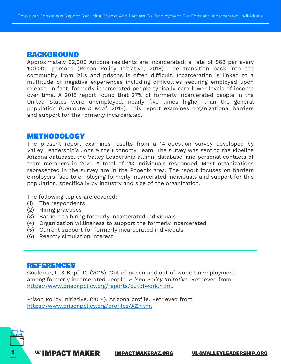#### **BACKGROUND**

Approximately 62,000 Arizona residents are incarcerated: a rate of 868 per every 100,000 persons (Prison Policy Initiative, 2018). The transition back into the community from jails and prisons is often difficult. Incarceration is linked to a multitude of negative experiences including difficulties securing employed upon release. In fact, formerly incarcerated people typically earn lower levels of income over time. A 2018 report found that 27% of formerly incarcerated people in the United States were unemployed, nearly five times higher than the general population (Couloute & Kopf, 2018). This report examines organizational barriers and support for the formerly incarcerated.

#### **METHODOLOGY**

The present report examines results from a 14-question survey developed by Valley Leadership's Jobs & the Economy Team. The survey was sent to the Pipeline Arizona database, the Valley Leadership alumni database, and personal contacts of team members in 2021. A total of 113 individuals responded. Most organizations represented in the survey are in the Phoenix area. The report focuses on barriers employers face to employing formerly incarcerated individuals and support for this population, specifically by industry and size of the organization.

The following topics are covered:

- (1) The respondents
- (2) Hiring practices
- (3) Barriers to hiring formerly incarcerated individuals
- (4) Organization willingness to support the formerly incarcerated
- (5) Current support for formerly incarcerated individuals
- (6) Reentry simulation interest

#### **REFERENCES**

Couloute, L. & Kopf, D. (2018). Out of prison and out of work: Unemployment among formerly incarcerated people. *Prison Policy Imitative*. Retrieved from <https://www.prisonpolicy.org/reports/outofwork.html>.

Prison Policy Initiative. (2018). Arizona profile. Retrieved from [https://www.prisonpolicy.org/profiles/AZ.html.](https://www.prisonpolicy.org/profiles/AZ.html)

VL'IMPACT MAKER [IMPACTMAKERAZ.ORG](https://www.impactmakeraz.org/) [VL@VALLEYLEADERSHIP.ORG](mailto:bailey@VALLEYLEADERSHIP.ORG?subject=Impact%20Maker%20Jobs%20&%20Economy%20Team%20-%20Employer%20Consensus%20Report)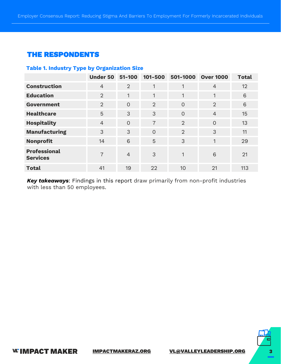## **THE RESPONDENTS**

#### **Table 1. Industry Type by Organization Size**

|                                        | <b>Under 50</b> | $51 - 100$     | 101-500        | 501-1000       | <b>Over 1000</b> | <b>Total</b> |
|----------------------------------------|-----------------|----------------|----------------|----------------|------------------|--------------|
| <b>Construction</b>                    | $\overline{4}$  | $\overline{2}$ | $\mathbf{1}$   | 1              | $\overline{4}$   | 12           |
| <b>Education</b>                       | $\overline{2}$  | $\mathbf{1}$   | $\mathbf{1}$   | 1              | 1                | 6            |
| Government                             | $\overline{2}$  | $\overline{O}$ | $\overline{2}$ | $\overline{0}$ | 2                | 6            |
| <b>Healthcare</b>                      | 5               | 3              | 3              | $\overline{0}$ | $\overline{4}$   | 15           |
| <b>Hospitality</b>                     | $\overline{4}$  | $\Omega$       | 7              | $\overline{2}$ | $\overline{0}$   | 13           |
| <b>Manufacturing</b>                   | 3               | 3              | $\Omega$       | $\overline{2}$ | 3                | 11           |
| <b>Nonprofit</b>                       | 14              | 6              | 5              | 3              | 1                | 29           |
| <b>Professional</b><br><b>Services</b> | 7               | $\overline{4}$ | 3              | 1              | 6                | 21           |
| <b>Total</b>                           | 41              | 19             | 22             | 10             | 21               | 113          |

*Key takeaways*: Findings in this report draw primarily from non-profit industries with less than 50 employees.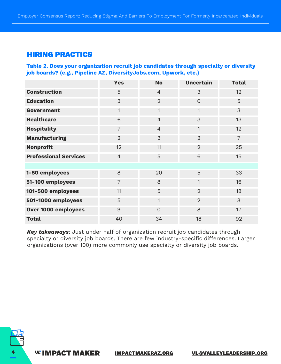## **HIRING PRACTICS**

**Table 2. Does your organization recruit job candidates through specialty or diversity job boards? (e.g., Pipeline AZ, DiversityJobs.com, Upwork, etc.)**

|                              | <b>Yes</b>     | <b>No</b>      | <b>Uncertain</b> | <b>Total</b>   |
|------------------------------|----------------|----------------|------------------|----------------|
| <b>Construction</b>          | 5              | $\overline{4}$ | 3                | 12             |
| <b>Education</b>             | 3              | $\overline{2}$ | $\overline{O}$   | 5              |
| <b>Government</b>            | $\mathbf{1}$   | $\mathbf{1}$   | $\overline{1}$   | 3              |
| <b>Healthcare</b>            | 6              | $\overline{4}$ | 3                | 13             |
| <b>Hospitality</b>           | $\overline{7}$ | $\overline{4}$ | 1                | 12             |
| <b>Manufacturing</b>         | 2              | 3              | $\overline{2}$   | $\overline{7}$ |
| <b>Nonprofit</b>             | 12             | 11             | $\overline{2}$   | 25             |
| <b>Professional Services</b> | $\overline{4}$ | 5              | 6                | 15             |
|                              |                |                |                  |                |
| 1-50 employees               | 8              | 20             | 5                | 33             |
| 51-100 employees             | $\overline{7}$ | 8              | 1                | 16             |
| 101-500 employees            | 11             | 5              | $\overline{2}$   | 18             |
| 501-1000 employees           | 5              | $\mathbf{1}$   | $\overline{2}$   | 8              |
| Over 1000 employees          | $\overline{9}$ | $\overline{O}$ | 8                | 17             |
| <b>Total</b>                 | 40             | 34             | 18               | 92             |

*Key takeaways*: Just under half of organization recruit job candidates through specialty or diversity job boards. There are few industry-specific differences. Larger organizations (over 100) more commonly use specialty or diversity job boards.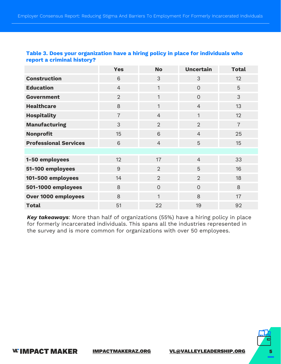|                              | <b>Yes</b>     | <b>No</b>      | <b>Uncertain</b> | <b>Total</b>   |
|------------------------------|----------------|----------------|------------------|----------------|
| <b>Construction</b>          | 6              | 3              | 3                | 12             |
| <b>Education</b>             | $\overline{4}$ | $\mathbf{1}$   | $\Omega$         | 5              |
| Government                   | $\overline{2}$ | $\mathbf{1}$   | $\overline{O}$   | 3              |
| <b>Healthcare</b>            | 8              | $\mathbf{1}$   | $\overline{4}$   | 13             |
| <b>Hospitality</b>           | $\overline{7}$ | $\overline{4}$ | $\mathbf{1}$     | 12             |
| <b>Manufacturing</b>         | 3              | $\overline{2}$ | $\overline{2}$   | $\overline{7}$ |
| <b>Nonprofit</b>             | 15             | 6              | $\overline{4}$   | 25             |
| <b>Professional Services</b> | 6              | $\overline{4}$ | 5                | 15             |
|                              |                |                |                  |                |
| 1-50 employees               | 12             | 17             | $\overline{4}$   | 33             |
| 51-100 employees             | $\overline{9}$ | 2              | 5                | 16             |
| 101-500 employees            | 14             | 2              | $\overline{2}$   | 18             |
| 501-1000 employees           | 8              | $\Omega$       | $\Omega$         | 8              |
| Over 1000 employees          | 8              | $\mathbf{1}$   | 8                | 17             |
| <b>Total</b>                 | 51             | 22             | 19               | 92             |

#### **Table 3. Does your organization have a hiring policy in place for individuals who report a criminal history?**

*Key takeaways*: More than half of organizations (55%) have a hiring policy in place for formerly incarcerated individuals. This spans all the industries represented in the survey and is more common for organizations with over 50 employees.

**WIMPACT MAKER** [IMPACTMAKERAZ.ORG](https://www.impactmakeraz.org/) [VL@VALLEYLEADERSHIP.ORG](mailto:bailey@VALLEYLEADERSHIP.ORG?subject=Impact%20Maker%20Jobs%20&%20Economy%20Team%20-%20Employer%20Consensus%20Report) 5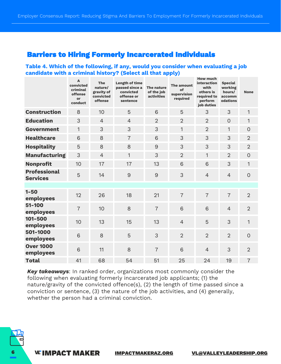## **Barriers to Hiring Formerly Incarcerated Individuals**

#### **Table 4. Which of the following, if any, would you consider when evaluating a job candidate with a criminal history? (Select all that apply)**

|                                        | A<br>convicted<br>criminal<br>offense<br>or<br>conduct | The<br>nature/<br>gravity of<br>convicted<br>offense | Length of time<br>passed since a<br>convicted<br>offense or<br>sentence | The nature<br>of the job<br><b>activities</b> | The amount<br>of<br>supervision<br>required | <b>How much</b><br>interaction<br>with<br>others is<br>required to<br>perform<br>job duties | <b>Special</b><br>working<br>hours/<br>accomm<br>odations | <b>None</b>    |
|----------------------------------------|--------------------------------------------------------|------------------------------------------------------|-------------------------------------------------------------------------|-----------------------------------------------|---------------------------------------------|---------------------------------------------------------------------------------------------|-----------------------------------------------------------|----------------|
| <b>Construction</b>                    | 8                                                      | 10                                                   | 5                                                                       | 6                                             | 5                                           | 3                                                                                           | 3                                                         | $\mathbf{1}$   |
| <b>Education</b>                       | 3                                                      | $\overline{4}$                                       | $\overline{4}$                                                          | $\overline{2}$                                | $\overline{2}$                              | $\overline{2}$                                                                              | $\overline{0}$                                            | $\mathbf{1}$   |
| Government                             | 1                                                      | 3                                                    | 3                                                                       | 3                                             | 1                                           | $\overline{2}$                                                                              | 1                                                         | $\overline{O}$ |
| <b>Healthcare</b>                      | 6                                                      | 8                                                    | $\overline{7}$                                                          | 6                                             | 3                                           | 3                                                                                           | 3                                                         | $\overline{2}$ |
| <b>Hospitality</b>                     | 5                                                      | 8                                                    | 8                                                                       | $\overline{9}$                                | 3                                           | 3                                                                                           | 3                                                         | $\overline{2}$ |
| <b>Manufacturing</b>                   | 3                                                      | $\overline{4}$                                       | $\mathbf{1}$                                                            | 3                                             | $\overline{2}$                              | 1                                                                                           | $\overline{2}$                                            | $\overline{O}$ |
| <b>Nonprofit</b>                       | 10                                                     | 17                                                   | 17                                                                      | 13                                            | 6                                           | 6                                                                                           | 3                                                         | $\mathbf{1}$   |
| <b>Professional</b><br><b>Services</b> | 5                                                      | 14                                                   | $\overline{9}$                                                          | $\overline{9}$                                | 3                                           | $\overline{4}$                                                                              | $\overline{4}$                                            | $\overline{O}$ |
|                                        |                                                        |                                                      |                                                                         |                                               |                                             |                                                                                             |                                                           |                |
| $1 - 50$<br>employees                  | 12                                                     | 26                                                   | 18                                                                      | 21                                            | $\overline{7}$                              | $\overline{7}$                                                                              | $\overline{7}$                                            | $\overline{2}$ |
| $51 - 100$<br>employees                | $\overline{7}$                                         | 10                                                   | 8                                                                       | $\overline{7}$                                | 6                                           | 6                                                                                           | $\overline{4}$                                            | $\overline{2}$ |
| 101-500<br>employees                   | 10                                                     | 13                                                   | 15                                                                      | 13                                            | $\overline{4}$                              | 5                                                                                           | 3                                                         | $\mathbf{1}$   |
| 501-1000<br>employees                  | 6                                                      | 8                                                    | 5                                                                       | 3                                             | $\overline{2}$                              | $\overline{2}$                                                                              | $\overline{2}$                                            | $\overline{O}$ |
| <b>Over 1000</b><br>employees          | 6                                                      | 11                                                   | 8                                                                       | $\overline{7}$                                | 6                                           | $\overline{4}$                                                                              | 3                                                         | $\overline{2}$ |
| <b>Total</b>                           | 41                                                     | 68                                                   | 54                                                                      | 51                                            | 25                                          | 24                                                                                          | 19                                                        | $\overline{7}$ |

*Key takeaways*: In ranked order, organizations most commonly consider the following when evaluating formerly incarcerated job applicants; (1) the nature/gravity of the convicted offence(s), (2) the length of time passed since a conviction or sentence, (3) the nature of the job activities, and (4) generally, whether the person had a criminal conviction.

VL'IMPACT MAKER [IMPACTMAKERAZ.ORG](https://www.impactmakeraz.org/) [VL@VALLEYLEADERSHIP.ORG](mailto:bailey@VALLEYLEADERSHIP.ORG?subject=Impact%20Maker%20Jobs%20&%20Economy%20Team%20-%20Employer%20Consensus%20Report)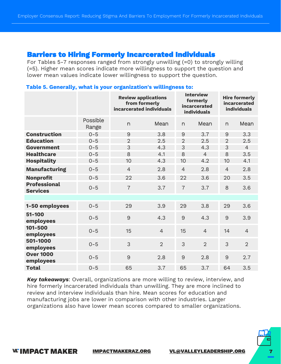## **Barriers to Hiring Formerly Incarcerated Individuals**

For Tables 5-7 responses ranged from strongly unwilling (=0) to strongly willing (=5). Higher mean scores indicate more willingness to support the question and lower mean values indicate lower willingness to support the question.

|                                        |                   | <b>Review applications</b><br>from formerly<br>incarcerated individuals |                | <b>Interview</b><br>formerly<br>incarcerated<br><b>individuals</b> |                | <b>Hire formerly</b><br>incarcerated<br><b>individuals</b> |                |
|----------------------------------------|-------------------|-------------------------------------------------------------------------|----------------|--------------------------------------------------------------------|----------------|------------------------------------------------------------|----------------|
|                                        | Possible<br>Range | n                                                                       | Mean           | n                                                                  | Mean           | n                                                          | Mean           |
| <b>Construction</b>                    | $0 - 5$           | 9                                                                       | 3.8            | 9                                                                  | 3.7            | 9                                                          | 3.3            |
| <b>Education</b>                       | $0 - 5$           | $\overline{2}$                                                          | 2.5            | $\overline{2}$                                                     | 2.5            | $\overline{2}$                                             | 2.5            |
| Government                             | $0 - 5$           | 3                                                                       | 4.3            | 3                                                                  | 4.3            | 3                                                          | $\overline{4}$ |
| <b>Healthcare</b>                      | $0 - 5$           | 8                                                                       | 4.1            | 8                                                                  | $\overline{4}$ | 8                                                          | 3.5            |
| <b>Hospitality</b>                     | $0 - 5$           | 10                                                                      | 4.3            | 10                                                                 | 4.2            | 10                                                         | 4.1            |
| <b>Manufacturing</b>                   | $0 - 5$           | $\overline{4}$                                                          | 2.8            | $\overline{4}$                                                     | 2.8            | $\overline{4}$                                             | 2.8            |
| <b>Nonprofit</b>                       | $0 - 5$           | 22                                                                      | 3.6            | 22                                                                 | 3.6            | 20                                                         | 3.5            |
| <b>Professional</b><br><b>Services</b> | $0 - 5$           | $\overline{7}$                                                          | 3.7            | $\overline{7}$                                                     | 3.7            | 8                                                          | 3.6            |
|                                        |                   |                                                                         |                |                                                                    |                |                                                            |                |
| 1-50 employees                         | $0 - 5$           | 29                                                                      | 3.9            | 29                                                                 | 3.8            | 29                                                         | 3.6            |
| $51 - 100$<br>employees                | $0 - 5$           | 9                                                                       | 4.3            | 9                                                                  | 4.3            | 9                                                          | 3.9            |
| 101-500<br>employees                   | $0 - 5$           | 15                                                                      | $\overline{4}$ | 15                                                                 | $\overline{4}$ | 14                                                         | $\overline{4}$ |
| 501-1000<br>employees                  | $0 - 5$           | 3                                                                       | $\overline{2}$ | 3                                                                  | $\overline{2}$ | 3                                                          | $\overline{2}$ |
| <b>Over 1000</b><br>employees          | $0 - 5$           | 9                                                                       | 2.8            | 9                                                                  | 2.8            | 9                                                          | 2.7            |
| <b>Total</b>                           | $0 - 5$           | 65                                                                      | 3.7            | 65                                                                 | 3.7            | 64                                                         | 3.5            |

#### **Table 5. Generally, what is your organization's willingness to:**

*Key takeaways*: Overall, organizations are more willing to review, interview, and hire formerly incarcerated individuals than unwilling. They are more inclined to review and interview individuals than hire. Mean scores for education and manufacturing jobs are lower in comparison with other industries. Larger organizations also have lower mean scores compared to smaller organizations.



**WIMPACT MAKER**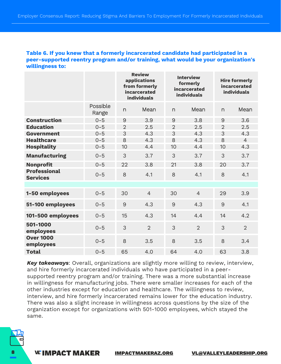#### **Table 6. If you knew that a formerly incarcerated candidate had participated in a peer-supported reentry program and/or training, what would be your organization's willingness to:**

|                                        |                   | <b>Review</b><br>applications<br>from formerly<br>incarcerated<br>individuals |                | <b>Interview</b><br>formerly<br>incarcerated<br>individuals |                | <b>Hire formerly</b><br>incarcerated<br><b>individuals</b> |                |
|----------------------------------------|-------------------|-------------------------------------------------------------------------------|----------------|-------------------------------------------------------------|----------------|------------------------------------------------------------|----------------|
|                                        | Possible<br>Range | n                                                                             | Mean           | $\Gamma$                                                    | Mean           | n                                                          | Mean           |
| <b>Construction</b>                    | $0 - 5$           | 9                                                                             | 3.9            | 9                                                           | 3.8            | 9                                                          | 3.6            |
| <b>Education</b>                       | $0 - 5$           | $\overline{2}$                                                                | 2.5            | $\overline{2}$                                              | 2.5            | $\overline{2}$                                             | 2.5            |
| Government                             | $0 - 5$           | 3                                                                             | 4.3            | 3                                                           | 4.3            | 3                                                          | 4.3            |
| <b>Healthcare</b>                      | $0 - 5$           | 8                                                                             | 4.3            | 8                                                           | 4.3            | 8                                                          | $\overline{4}$ |
| <b>Hospitality</b>                     | $0 - 5$           | 10                                                                            | 4.4            | 10                                                          | 4.4            | 10                                                         | 4.3            |
| <b>Manufacturing</b>                   | $0 - 5$           | 3                                                                             | 3.7            | 3                                                           | 3.7            | 3                                                          | 3.7            |
| <b>Nonprofit</b>                       | $0 - 5$           | 22                                                                            | 3.8            | 21                                                          | 3.8            | 20                                                         | 3.7            |
| <b>Professional</b><br><b>Services</b> | $0 - 5$           | 8                                                                             | 4.1            | 8                                                           | 4.1            | 8                                                          | 4.1            |
|                                        |                   |                                                                               |                |                                                             |                |                                                            |                |
| 1-50 employees                         | $0 - 5$           | 30                                                                            | $\overline{4}$ | 30                                                          | $\overline{4}$ | 29                                                         | 3.9            |
| 51-100 employees                       | $0 - 5$           | 9                                                                             | 4.3            | 9                                                           | 4.3            | 9                                                          | 4.1            |
| 101-500 employees                      | $0 - 5$           | 15                                                                            | 4.3            | 14                                                          | 4.4            | 14                                                         | 4.2            |
| 501-1000<br>employees                  | $0 - 5$           | 3                                                                             | $\overline{2}$ | 3                                                           | $\overline{2}$ | 3                                                          | $\overline{2}$ |
| <b>Over 1000</b><br>employees          | $0 - 5$           | 8                                                                             | 3.5            | 8                                                           | 3.5            | 8                                                          | 3.4            |
| <b>Total</b>                           | $0 - 5$           | 65                                                                            | 4.0            | 64                                                          | 4.0            | 63                                                         | 3.8            |

*Key takeaways*: Overall, organizations are slightly more willing to review, interview, and hire formerly incarcerated individuals who have participated in a peersupported reentry program and/or training. There was a more substantial increase in willingness for manufacturing jobs. There were smaller increases for each of the other industries except for education and healthcare. The willingness to review, interview, and hire formerly incarcerated remains lower for the education industry. There was also a slight increase in willingness across questions by the size of the organization except for organizations with 501-1000 employees, which stayed the same.

VL'IMPACT MAKER [IMPACTMAKERAZ.ORG](https://www.impactmakeraz.org/) [VL@VALLEYLEADERSHIP.ORG](mailto:bailey@VALLEYLEADERSHIP.ORG?subject=Impact%20Maker%20Jobs%20&%20Economy%20Team%20-%20Employer%20Consensus%20Report)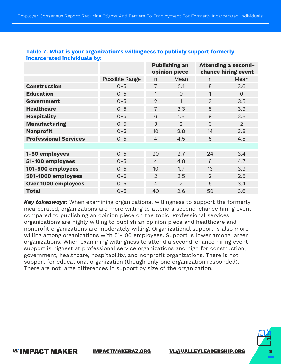|                              |                | <b>Publishing an</b><br>opinion piece |                |                | <b>Attending a second-</b><br>chance hiring event |  |
|------------------------------|----------------|---------------------------------------|----------------|----------------|---------------------------------------------------|--|
|                              | Possible Range | n                                     | Mean           | n              | Mean                                              |  |
| <b>Construction</b>          | $0 - 5$        | $\overline{7}$                        | 2.1            | 8              | 3.6                                               |  |
| <b>Education</b>             | $0 - 5$        | 1                                     | $\Omega$       | 1              | $\overline{O}$                                    |  |
| Government                   | $0 - 5$        | $\overline{2}$                        | 1              | $\overline{2}$ | 3.5                                               |  |
| <b>Healthcare</b>            | $0 - 5$        | $\overline{7}$                        | 3.3            | 8              | 3.9                                               |  |
| <b>Hospitality</b>           | $0 - 5$        | 6                                     | 1.8            | 9              | 3.8                                               |  |
| <b>Manufacturing</b>         | $0 - 5$        | 3                                     | $\overline{2}$ | 3              | 2                                                 |  |
| <b>Nonprofit</b>             | $0 - 5$        | 10                                    | 2.8            | 14             | 3.8                                               |  |
| <b>Professional Services</b> | $0 - 5$        | $\overline{4}$                        | 4.5            | 5              | 4.5                                               |  |
|                              |                |                                       |                |                |                                                   |  |
| 1-50 employees               | $0 - 5$        | 20                                    | 2.7            | 24             | 3.4                                               |  |
| 51-100 employees             | $0 - 5$        | $\overline{4}$                        | 4.8            | 6              | 4.7                                               |  |
| 101-500 employees            | $0 - 5$        | 10                                    | 1.7            | 13             | 3.9                                               |  |
| 501-1000 employees           | $0 - 5$        | $\mathcal{D}$                         | 2.5            | $\overline{2}$ | 2.5                                               |  |
| Over 1000 employees          | $0 - 5$        | $\overline{4}$                        | $\overline{2}$ | 5              | 3.4                                               |  |
| <b>Total</b>                 | $0 - 5$        | 40                                    | 2.6            | 50             | 3.6                                               |  |

#### **Table 7. What is your organization's willingness to publicly support formerly incarcerated individuals by:**

*Key takeaways*: When examining organizational willingness to support the formerly incarcerated, organizations are more willing to attend a second-chance hiring event compared to publishing an opinion piece on the topic. Professional services organizations are highly willing to publish an opinion piece and healthcare and nonprofit organizations are moderately willing. Organizational support is also more willing among organizations with 51-100 employees. Support is lower among larger organizations. When examining willingness to attend a second-chance hiring event support is highest at professional service organizations and high for construction, government, healthcare, hospitability, and nonprofit organizations. There is not support for educational organization (though only one organization responded). There are not large differences in support by size of the organization.



**WIMPACT MAKER** [IMPACTMAKERAZ.ORG](https://www.impactmakeraz.org/) [VL@VALLEYLEADERSHIP.ORG](mailto:bailey@VALLEYLEADERSHIP.ORG?subject=Impact%20Maker%20Jobs%20&%20Economy%20Team%20-%20Employer%20Consensus%20Report) 9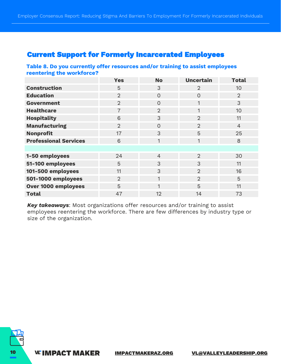## **Current Support for Formerly Incarcerated Employees**

#### **Table 8. Do you currently offer resources and/or training to assist employees reentering the workforce?**

|                              | <b>Yes</b>     | <b>No</b>      | <b>Uncertain</b> | <b>Total</b>   |
|------------------------------|----------------|----------------|------------------|----------------|
| <b>Construction</b>          | 5              | 3              | $\overline{2}$   | 10             |
| <b>Education</b>             | 2              | $\Omega$       | $\overline{0}$   | $\overline{2}$ |
| Government                   | $\overline{2}$ | $\overline{O}$ | 1                | 3              |
| <b>Healthcare</b>            | $\overline{7}$ | $\overline{2}$ | 1                | 10             |
| <b>Hospitality</b>           | 6              | 3              | $\overline{2}$   | 11             |
| <b>Manufacturing</b>         | 2              | $\Omega$       | $\overline{2}$   | $\overline{4}$ |
| <b>Nonprofit</b>             | 17             | 3              | 5                | 25             |
| <b>Professional Services</b> | 6              | 1              | 1                | 8              |
|                              |                |                |                  |                |
| 1-50 employees               | 24             | $\overline{4}$ | 2                | 30             |
| 51-100 employees             | 5              | 3              | 3                | 11             |
| 101-500 employees            | 11             | 3              | $\overline{2}$   | 16             |
| 501-1000 employees           | 2              | $\mathbf{1}$   | $\overline{2}$   | 5              |
| Over 1000 employees          | 5              | 1              | 5                | 11             |
| <b>Total</b>                 | 47             | 12             | 14               | 73             |

*Key takeaways*: Most organizations offer resources and/or training to assist employees reentering the workforce. There are few differences by industry type or size of the organization.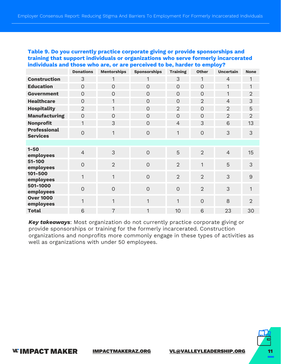#### **Table 9. Do you currently practice corporate giving or provide sponsorships and training that support individuals or organizations who serve formerly incarcerated individuals and those who are, or are perceived to be, harder to employ?**

|                                        | <b>Donations</b> | <b>Mentorships</b> | <b>Sponsorships</b> | <b>Training</b> | <b>Other</b>   | <b>Uncertain</b> | <b>None</b>    |
|----------------------------------------|------------------|--------------------|---------------------|-----------------|----------------|------------------|----------------|
| <b>Construction</b>                    | 3                | 1                  | 1                   | 3               | 1              | $\overline{4}$   | 1              |
| <b>Education</b>                       | $\overline{O}$   | $\overline{O}$     | $\overline{O}$      | $\overline{0}$  | $\overline{O}$ | 1                | $\mathbf{1}$   |
| <b>Government</b>                      | $\overline{0}$   | $\overline{O}$     | $\overline{O}$      | $\overline{0}$  | $\overline{O}$ | 1                | $\overline{2}$ |
| <b>Healthcare</b>                      | $\overline{O}$   | 1                  | $\overline{O}$      | $\overline{O}$  | $\overline{2}$ | $\overline{4}$   | 3              |
| <b>Hospitality</b>                     | $\overline{2}$   | $\mathbf{1}$       | $\overline{0}$      | 2               | $\overline{O}$ | $\overline{2}$   | 5              |
| <b>Manufacturing</b>                   | $\overline{0}$   | $\overline{O}$     | $\overline{O}$      | $\overline{0}$  | $\overline{O}$ | 2                | $\overline{2}$ |
| <b>Nonprofit</b>                       | $\mathbf{1}$     | 3                  | $\overline{O}$      | $\overline{4}$  | 3              | 6                | 13             |
| <b>Professional</b><br><b>Services</b> | $\overline{O}$   | 1                  | $\overline{0}$      | 1               | $\overline{0}$ | 3                | 3              |
|                                        |                  |                    |                     |                 |                |                  |                |
| $1 - 50$<br>employees                  | $\overline{4}$   | 3                  | $\overline{O}$      | 5               | $\overline{2}$ | $\overline{4}$   | 15             |
| $51 - 100$<br>employees                | $\overline{0}$   | $\overline{2}$     | $\overline{0}$      | $\overline{2}$  | 1              | 5                | 3              |
| 101-500<br>employees                   | 1                | $\mathbf{1}$       | $\overline{0}$      | 2               | $\overline{2}$ | 3                | 9              |
| 501-1000<br>employees                  | $\overline{O}$   | $\mathbf 0$        | $\overline{0}$      | $\overline{O}$  | $\overline{2}$ | 3                | 1              |
| <b>Over 1000</b><br>employees          | 1                | $\mathbf{1}$       | $\mathbf{1}$        | 1               | $\overline{0}$ | 8                | $\overline{2}$ |
| <b>Total</b>                           | 6                | $\overline{7}$     | 1                   | 10              | 6              | 23               | 30             |

*Key takeaways*: Most organization do not currently practice corporate giving or provide sponsorships or training for the formerly incarcerated. Construction organizations and nonprofits more commonly engage in these types of activities as well as organizations with under 50 employees.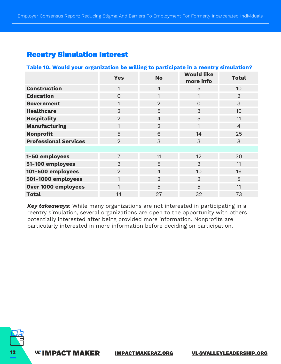## **Reentry Simulation Interest**

## **Table 10. Would your organization be willing to participate in a reentry simulation? Yes No Would like more info Total Construction** 1 1 4 5 10 **Education** 0 1 1 2 **Government** 1 2 0 3 **Healthcare** 2 3 3 10 **Hospitality** 11 2 2 4 5 11 **Manufacturing** 1 1 2 1 4 **Nonprofit** 5 5 6 14 25 **Professional Services** 2 3 3 3 8 8 **1-50 employees** 7 12 12 30 **51-100 employees** 3 3 5 3 11 **101-500 employees** 2 10 16 **501-1000 employees** 1 1 2 2 2 5 **Over 1000 employees** 1 5 5 5 11 **Total** 14 27 32 73

*Key takeaways*: While many organizations are not interested in participating in a reentry simulation, several organizations are open to the opportunity with others potentially interested after being provided more information. Nonprofits are particularly interested in more information before deciding on participation.